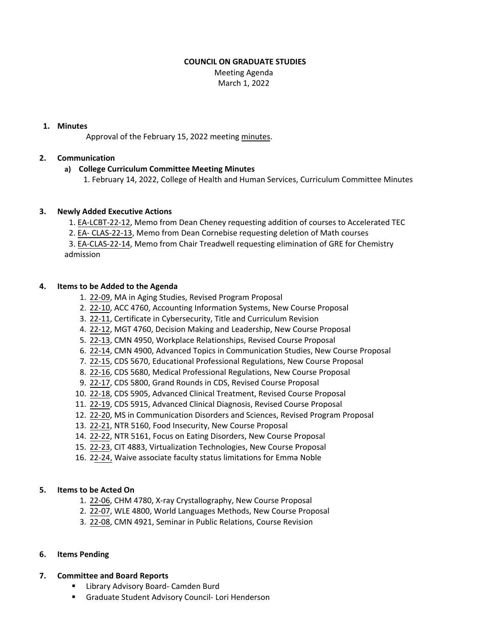#### **COUNCIL ON GRADUATE STUDIES**

Meeting Agenda March 1, 2022

#### **1. Minutes**

Approval of the February 15, 2022 meeting [minutes.](https://castle.eiu.edu/eiucgs/currentminutes/Minutes2-15-22.pdf)

## **2. Communication**

# **a) College Curriculum Committee Meeting Minutes**

1. February 14, 2022, College of Health and Human Services, Curriculum Committee [Minutes](https://pmaileiu-my.sharepoint.com/personal/jemmett_eiu_edu/_layouts/15/Doc.aspx?sourcedoc=%7B045CB371-831D-4305-A286-A819F97BA3F0%7D&file=02-14-22_CHHSCC_Minutes.docx&action=default&mobileredirect=true&CT=1645630806203&OR=ItemsView)

## **3. Newly Added Executive Actions**

1. EA‐[LCBT](https://castle.eiu.edu/eiucgs/exec-actions/EA-LCBT-22-12.pdf)‐22‐12, Memo from Dean Cheney requesting addition of courses to Accelerated TEC

2. EA‐ [CLAS](https://castle.eiu.edu/eiucgs/exec-actions/EA-CLAS-22-13.pdf)‐22‐13, Memo from Dean Cornebise requesting deletion of Math courses

3. EA‐[CLAS](https://castle.eiu.edu/eiucgs/exec-actions/EA-CLAS-22-14.pdf)‐22‐14, Memo from Chair Treadwell requesting elimination of GRE for Chemistry admission

# **4. Items to be Added to the Agenda**

- 1. 22‐[09,](https://castle.eiu.edu/eiucgs/currentagendaitems/agenda22-09.pdf) MA in Aging Studies, Revised Program Proposal
- 2. 22‐[10,](https://castle.eiu.edu/eiucgs/currentagendaitems/agenda22-10.pdf) ACC 4760, Accounting Information Systems, New Course Proposal
- 3. 22‐[11,](https://castle.eiu.edu/eiucgs/currentagendaitems/agenda22-11.pdf) Certificate in Cybersecurity, Title and Curriculum Revision
- 4. 22‐[12,](https://castle.eiu.edu/eiucgs/currentagendaitems/agenda22-12.pdf) MGT 4760, Decision Making and Leadership, New Course Proposal
- 5. 22‐[13,](https://castle.eiu.edu/eiucgs/currentagendaitems/agenda22-13.pdf) CMN 4950, Workplace Relationships, Revised Course Proposal
- 6. [22](https://castle.eiu.edu/eiucgs/currentagendaitems/agenda22-14.pdf)‐14, CMN 4900, Advanced Topics in Communication Studies, New Course Proposal
- 7. 22‐[15,](https://castle.eiu.edu/eiucgs/currentagendaitems/agenda22-15.pdf) CDS 5670, Educational Professional Regulations, New Course Proposal
- 8. 22‐[16,](https://castle.eiu.edu/eiucgs/currentagendaitems/agenda22-16.pdf) CDS 5680, Medical Professional Regulations, New Course Proposal
- 9. 22‐[17,](https://castle.eiu.edu/eiucgs/currentagendaitems/agenda22-17.pdf) CDS 5800, Grand Rounds in CDS, Revised Course Proposal
- 10. 22‐[18,](https://castle.eiu.edu/eiucgs/currentagendaitems/agenda22-18.pdf) CDS 5905, Advanced Clinical Treatment, Revised Course Proposal
- 11. 22‐[19,](https://castle.eiu.edu/eiucgs/currentagendaitems/agenda22-19.pdf) CDS 5915, Advanced Clinical Diagnosis, Revised Course Proposal
- 12. 22-[20,](https://castle.eiu.edu/eiucgs/currentagendaitems/agenda22-20.pdf) MS in Communication Disorders and Sciences, Revised Program Proposal
- 13. 22‐[21,](https://castle.eiu.edu/eiucgs/currentagendaitems/agenda22-21.pdf) NTR 5160, Food Insecurity, New Course Proposal
- 14. 22-[22,](https://castle.eiu.edu/eiucgs/currentagendaitems/agenda22-22.pdf) NTR 5161, Focus on Eating Disorders, New Course Proposal
- 15. 22‐[23,](https://castle.eiu.edu/eiucgs/currentagendaitems/agenda22-23.pdf) CIT 4883, Virtualization Technologies, New Course Proposal
- 16. [22-24, W](https://castle.eiu.edu/eiucgs/currentagendaitems/agenda22-24.pdf)aive associate faculty status limitations for Emma Noble

## **5. Items to be Acted On**

- 1. 22‐[06,](https://castle.eiu.edu/eiucgs/currentagendaitems/agenda22-06.pdf) CHM 4780, X‐ray Crystallography, New Course Proposal
- 2. 22‐[07,](https://castle.eiu.edu/eiucgs/currentagendaitems/agenda22-07.pdf) WLE 4800, World Languages Methods, New Course Proposal
- 3. 22‐[08,](https://castle.eiu.edu/eiucgs/currentagendaitems/agenda22-08.pdf) CMN 4921, Seminar in Public Relations, Course Revision

## **6. Items Pending**

## **7. Committee and Board Reports**

- Library Advisory Board- Camden Burd
- Graduate Student Advisory Council- Lori Henderson